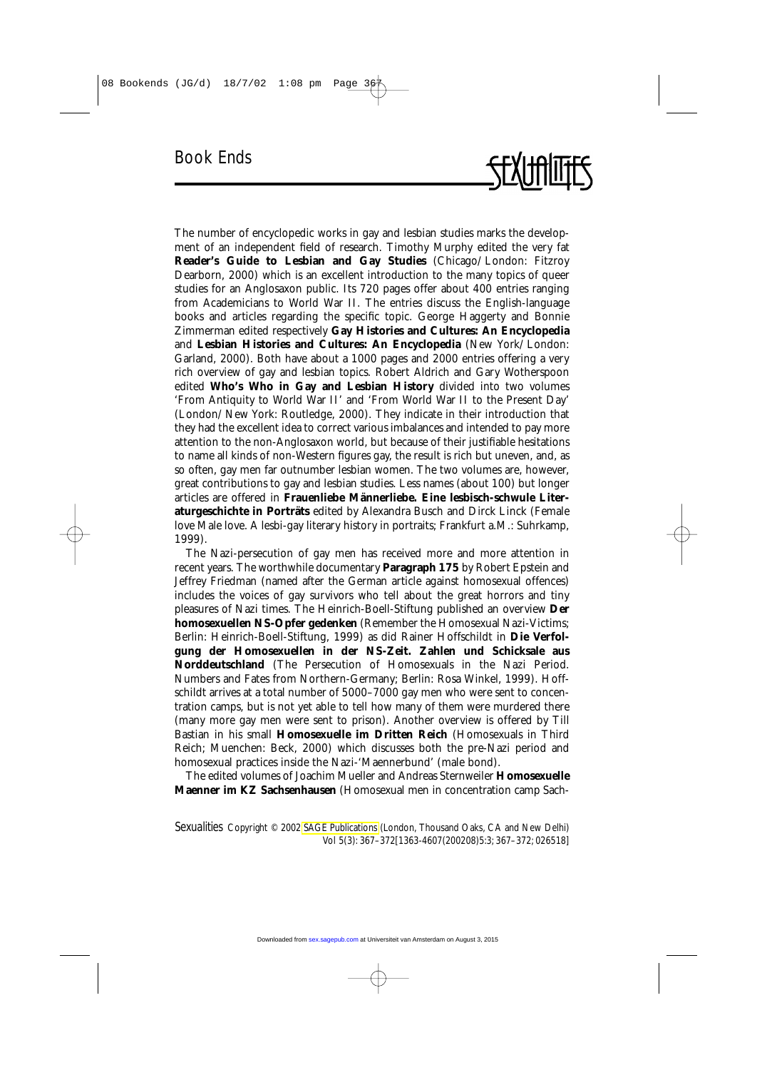The number of encyclopedic works in gay and lesbian studies marks the development of an independent field of research. Timothy Murphy edited the very fat **Reader's Guide to Lesbian and Gay Studies** (Chicago/London: Fitzroy Dearborn, 2000) which is an excellent introduction to the many topics of queer studies for an Anglosaxon public. Its 720 pages offer about 400 entries ranging from Academicians to World War II. The entries discuss the English-language books and articles regarding the specific topic. George Haggerty and Bonnie Zimmerman edited respectively **Gay Histories and Cultures: An Encyclopedia** and **Lesbian Histories and Cultures: An Encyclopedia** (New York/London: Garland, 2000). Both have about a 1000 pages and 2000 entries offering a very rich overview of gay and lesbian topics. Robert Aldrich and Gary Wotherspoon edited **Who's Who in Gay and Lesbian History** divided into two volumes 'From Antiquity to World War II' and 'From World War II to the Present Day' (London/New York: Routledge, 2000). They indicate in their introduction that they had the excellent idea to correct various imbalances and intended to pay more attention to the non-Anglosaxon world, but because of their justifiable hesitations to name all kinds of non-Western figures gay, the result is rich but uneven, and, as so often, gay men far outnumber lesbian women. The two volumes are, however, great contributions to gay and lesbian studies. Less names (about 100) but longer articles are offered in **Frauenliebe Männerliebe. Eine lesbisch-schwule Literaturgeschichte in Porträts** edited by Alexandra Busch and Dirck Linck (Female love Male love. A lesbi-gay literary history in portraits; Frankfurt a.M.: Suhrkamp, 1999).

The Nazi-persecution of gay men has received more and more attention in recent years. The worthwhile documentary **Paragraph 175** by Robert Epstein and Jeffrey Friedman (named after the German article against homosexual offences) includes the voices of gay survivors who tell about the great horrors and tiny pleasures of Nazi times. The Heinrich-Boell-Stiftung published an overview **Der homosexuellen NS-Opfer gedenken** (Remember the Homosexual Nazi-Victims; Berlin: Heinrich-Boell-Stiftung, 1999) as did Rainer Hoffschildt in **Die Verfolgung der Homosexuellen in der NS-Zeit. Zahlen und Schicksale aus Norddeutschland** (The Persecution of Homosexuals in the Nazi Period. Numbers and Fates from Northern-Germany; Berlin: Rosa Winkel, 1999). Hoffschildt arrives at a total number of 5000–7000 gay men who were sent to concentration camps, but is not yet able to tell how many of them were murdered there (many more gay men were sent to prison). Another overview is offered by Till Bastian in his small **Homosexuelle im Dritten Reich** (Homosexuals in Third Reich; Muenchen: Beck, 2000) which discusses both the pre-Nazi period and homosexual practices inside the Nazi-'Maennerbund' (male bond).

The edited volumes of Joachim Mueller and Andreas Sternweiler **Homosexuelle Maenner im KZ Sachsenhausen** (Homosexual men in concentration camp Sach-

*Sexualities* Copyright © 2002 [SAGE Publications](http:\\www.sagepublications.com) (London, Thousand Oaks, CA and New Delhi) Vol 5(3): 367–372[1363-4607(200208)5:3; 367–372; 026518]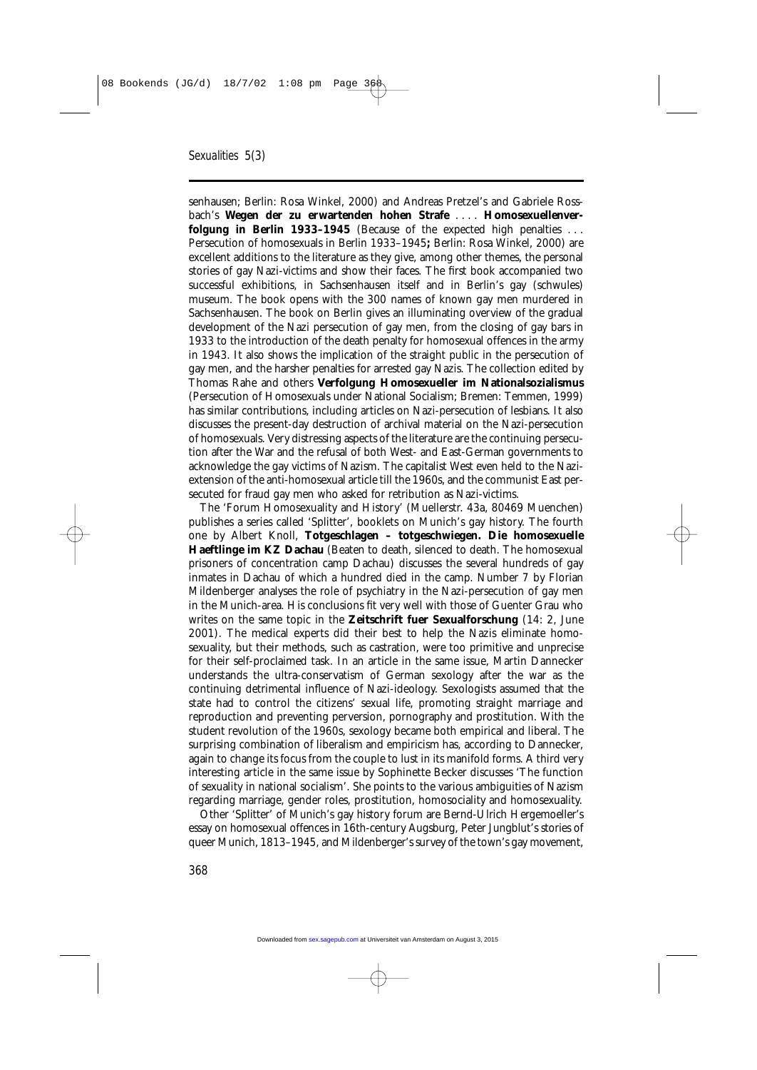senhausen; Berlin: Rosa Winkel, 2000) and Andreas Pretzel's and Gabriele Rossbach's **Wegen der zu erwartenden hohen Strafe** . . . . **Homosexuellenverfolgung in Berlin 1933–1945** (Because of the expected high penalties . . . Persecution of homosexuals in Berlin 1933–1945**;** Berlin: Rosa Winkel, 2000) are excellent additions to the literature as they give, among other themes, the personal stories of gay Nazi-victims and show their faces. The first book accompanied two successful exhibitions, in Sachsenhausen itself and in Berlin's gay (schwules) museum. The book opens with the 300 names of known gay men murdered in Sachsenhausen. The book on Berlin gives an illuminating overview of the gradual development of the Nazi persecution of gay men, from the closing of gay bars in 1933 to the introduction of the death penalty for homosexual offences in the army in 1943. It also shows the implication of the straight public in the persecution of gay men, and the harsher penalties for arrested gay Nazis. The collection edited by Thomas Rahe and others **Verfolgung Homosexueller im Nationalsozialismus** (Persecution of Homosexuals under National Socialism; Bremen: Temmen, 1999) has similar contributions, including articles on Nazi-persecution of lesbians. It also discusses the present-day destruction of archival material on the Nazi-persecution of homosexuals. Very distressing aspects of the literature are the continuing persecution after the War and the refusal of both West- and East-German governments to acknowledge the gay victims of Nazism. The capitalist West even held to the Naziextension of the anti-homosexual article till the 1960s, and the communist East persecuted for fraud gay men who asked for retribution as Nazi-victims.

The 'Forum Homosexuality and History' (Muellerstr. 43a, 80469 Muenchen) publishes a series called 'Splitter', booklets on Munich's gay history. The fourth one by Albert Knoll, **Totgeschlagen – totgeschwiegen. Die homosexuelle Haeftlinge im KZ Dachau** (Beaten to death, silenced to death. The homosexual prisoners of concentration camp Dachau) discusses the several hundreds of gay inmates in Dachau of which a hundred died in the camp. Number 7 by Florian Mildenberger analyses the role of psychiatry in the Nazi-persecution of gay men in the Munich-area. His conclusions fit very well with those of Guenter Grau who writes on the same topic in the **Zeitschrift fuer Sexualforschung** (14: 2, June 2001). The medical experts did their best to help the Nazis eliminate homosexuality, but their methods, such as castration, were too primitive and unprecise for their self-proclaimed task. In an article in the same issue, Martin Dannecker understands the ultra-conservatism of German sexology after the war as the continuing detrimental influence of Nazi-ideology. Sexologists assumed that the state had to control the citizens' sexual life, promoting straight marriage and reproduction and preventing perversion, pornography and prostitution. With the student revolution of the 1960s, sexology became both empirical and liberal. The surprising combination of liberalism and empiricism has, according to Dannecker, again to change its focus from the couple to lust in its manifold forms. A third very interesting article in the same issue by Sophinette Becker discusses 'The function of sexuality in national socialism'. She points to the various ambiguities of Nazism regarding marriage, gender roles, prostitution, homosociality and homosexuality.

Other 'Splitter' of Munich's gay history forum are Bernd-Ulrich Hergemoeller's essay on homosexual offences in 16th-century Augsburg, Peter Jungblut's stories of queer Munich, 1813–1945, and Mildenberger's survey of the town's gay movement,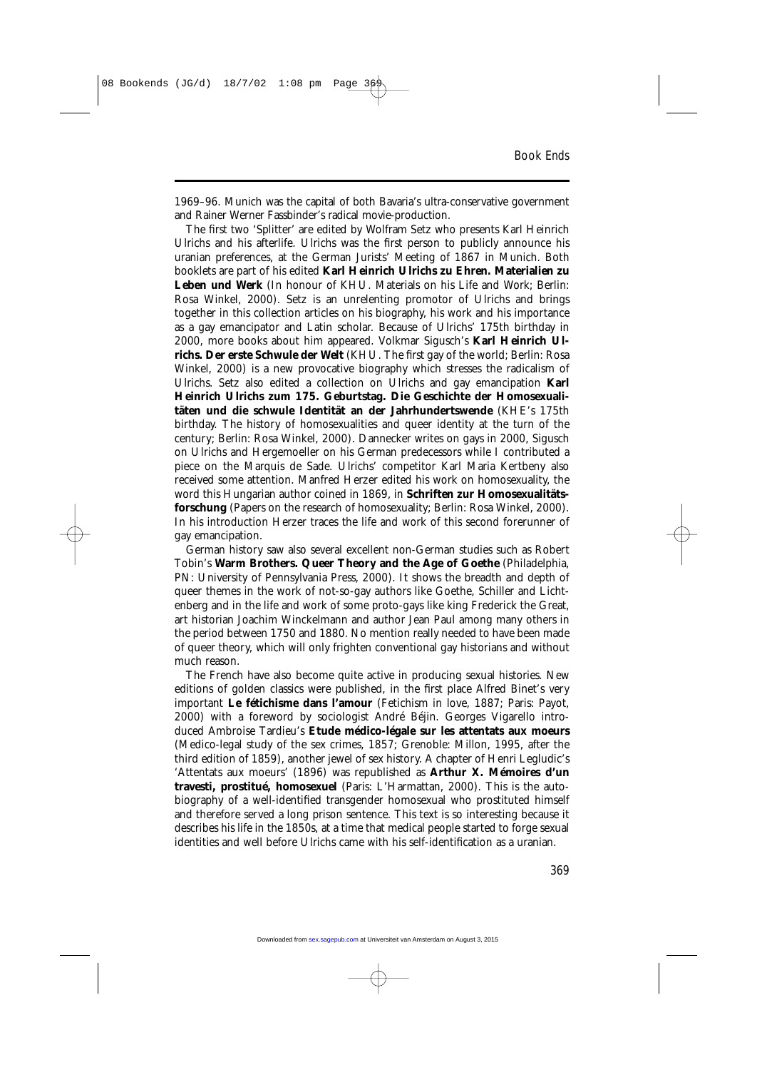1969–96. Munich was the capital of both Bavaria's ultra-conservative government and Rainer Werner Fassbinder's radical movie-production.

The first two 'Splitter' are edited by Wolfram Setz who presents Karl Heinrich Ulrichs and his afterlife. Ulrichs was the first person to publicly announce his uranian preferences, at the German Jurists' Meeting of 1867 in Munich. Both booklets are part of his edited **Karl Heinrich Ulrichs zu Ehren. Materialien zu Leben und Werk** (In honour of KHU. Materials on his Life and Work; Berlin: Rosa Winkel, 2000). Setz is an unrelenting promotor of Ulrichs and brings together in this collection articles on his biography, his work and his importance as a gay emancipator and Latin scholar. Because of Ulrichs' 175th birthday in 2000, more books about him appeared. Volkmar Sigusch's **Karl Heinrich Ulrichs. Der erste Schwule der Welt** (KHU. The first gay of the world; Berlin: Rosa Winkel, 2000) is a new provocative biography which stresses the radicalism of Ulrichs. Setz also edited a collection on Ulrichs and gay emancipation **Karl Heinrich Ulrichs zum 175. Geburtstag. Die Geschichte der Homosexualitäten und die schwule Identität an der Jahrhundertswende** (KHE's 175th birthday. The history of homosexualities and queer identity at the turn of the century; Berlin: Rosa Winkel, 2000). Dannecker writes on gays in 2000, Sigusch on Ulrichs and Hergemoeller on his German predecessors while I contributed a piece on the Marquis de Sade. Ulrichs' competitor Karl Maria Kertbeny also received some attention. Manfred Herzer edited his work on homosexuality, the word this Hungarian author coined in 1869, in **Schriften zur Homosexualitätsforschung** (Papers on the research of homosexuality; Berlin: Rosa Winkel, 2000). In his introduction Herzer traces the life and work of this second forerunner of gay emancipation.

German history saw also several excellent non-German studies such as Robert Tobin's **Warm Brothers. Queer Theory and the Age of Goethe** (Philadelphia, PN: University of Pennsylvania Press, 2000). It shows the breadth and depth of queer themes in the work of not-so-gay authors like Goethe, Schiller and Lichtenberg and in the life and work of some proto-gays like king Frederick the Great, art historian Joachim Winckelmann and author Jean Paul among many others in the period between 1750 and 1880. No mention really needed to have been made of queer theory, which will only frighten conventional gay historians and without much reason.

The French have also become quite active in producing sexual histories. New editions of golden classics were published, in the first place Alfred Binet's very important **Le fétichisme dans l'amour** (Fetichism in love, 1887; Paris: Payot, 2000) with a foreword by sociologist André Béjin. Georges Vigarello introduced Ambroise Tardieu's **Etude médico-légale sur les attentats aux moeurs** (Medico-legal study of the sex crimes, 1857; Grenoble: Millon, 1995, after the third edition of 1859), another jewel of sex history. A chapter of Henri Legludic's 'Attentats aux moeurs' (1896) was republished as **Arthur X. Mémoires d'un travesti, prostitué, homosexuel** (Paris: L'Harmattan, 2000). This is the autobiography of a well-identified transgender homosexual who prostituted himself and therefore served a long prison sentence. This text is so interesting because it describes his life in the 1850s, at a time that medical people started to forge sexual identities and well before Ulrichs came with his self-identification as a uranian.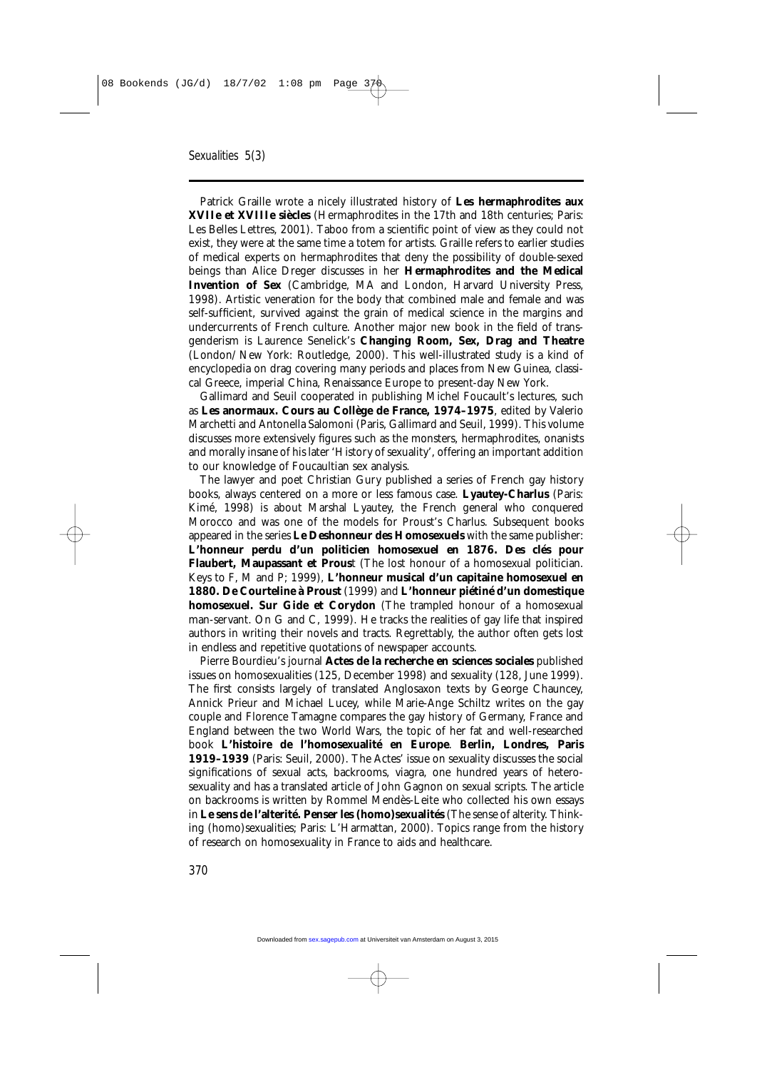Patrick Graille wrote a nicely illustrated history of **Les hermaphrodites aux XVIIe et XVIIIe siècles** (Hermaphrodites in the 17th and 18th centuries; Paris: Les Belles Lettres, 2001). Taboo from a scientific point of view as they could not exist, they were at the same time a totem for artists. Graille refers to earlier studies of medical experts on hermaphrodites that deny the possibility of double-sexed beings than Alice Dreger discusses in her **Hermaphrodites and the Medical Invention of Sex** (Cambridge, MA and London, Harvard University Press, 1998). Artistic veneration for the body that combined male and female and was self-sufficient, survived against the grain of medical science in the margins and undercurrents of French culture. Another major new book in the field of transgenderism is Laurence Senelick's **Changing Room, Sex, Drag and Theatre** (London/New York: Routledge, 2000). This well-illustrated study is a kind of encyclopedia on drag covering many periods and places from New Guinea, classical Greece, imperial China, Renaissance Europe to present-day New York.

Gallimard and Seuil cooperated in publishing Michel Foucault's lectures, such as **Les anormaux. Cours au Collège de France, 1974–1975**, edited by Valerio Marchetti and Antonella Salomoni (Paris, Gallimard and Seuil, 1999). This volume discusses more extensively figures such as the monsters, hermaphrodites, onanists and morally insane of his later 'History of sexuality', offering an important addition to our knowledge of Foucaultian sex analysis.

The lawyer and poet Christian Gury published a series of French gay history books, always centered on a more or less famous case. **Lyautey-Charlus** (Paris: Kimé, 1998) is about Marshal Lyautey, the French general who conquered Morocco and was one of the models for Proust's Charlus. Subsequent books appeared in the series **Le Deshonneur des Homosexuels** with the same publisher: **L'honneur perdu d'un politicien homosexuel en 1876. Des clés pour Flaubert, Maupassant et Prous**t (The lost honour of a homosexual politician. Keys to F, M and P; 1999), **L'honneur musical d'un capitaine homosexuel en 1880. De Courteline à Proust** (1999) and **L'honneur piétiné d'un domestique homosexuel. Sur Gide et Corydon** (The trampled honour of a homosexual man-servant. On G and C, 1999). He tracks the realities of gay life that inspired authors in writing their novels and tracts. Regrettably, the author often gets lost in endless and repetitive quotations of newspaper accounts.

Pierre Bourdieu's journal **Actes de la recherche en sciences sociales** published issues on homosexualities (125, December 1998) and sexuality (128, June 1999). The first consists largely of translated Anglosaxon texts by George Chauncey, Annick Prieur and Michael Lucey, while Marie-Ange Schiltz writes on the gay couple and Florence Tamagne compares the gay history of Germany, France and England between the two World Wars, the topic of her fat and well-researched book **L'histoire de l'homosexualité en Europe**. **Berlin, Londres, Paris 1919–1939** (Paris: Seuil, 2000). The Actes' issue on sexuality discusses the social significations of sexual acts, backrooms, viagra, one hundred years of heterosexuality and has a translated article of John Gagnon on sexual scripts. The article on backrooms is written by Rommel Mendès-Leite who collected his own essays in **Le sens de l'alterité. Penser les (homo)sexualités** (The sense of alterity. Thinking (homo)sexualities; Paris: L'Harmattan, 2000). Topics range from the history of research on homosexuality in France to aids and healthcare.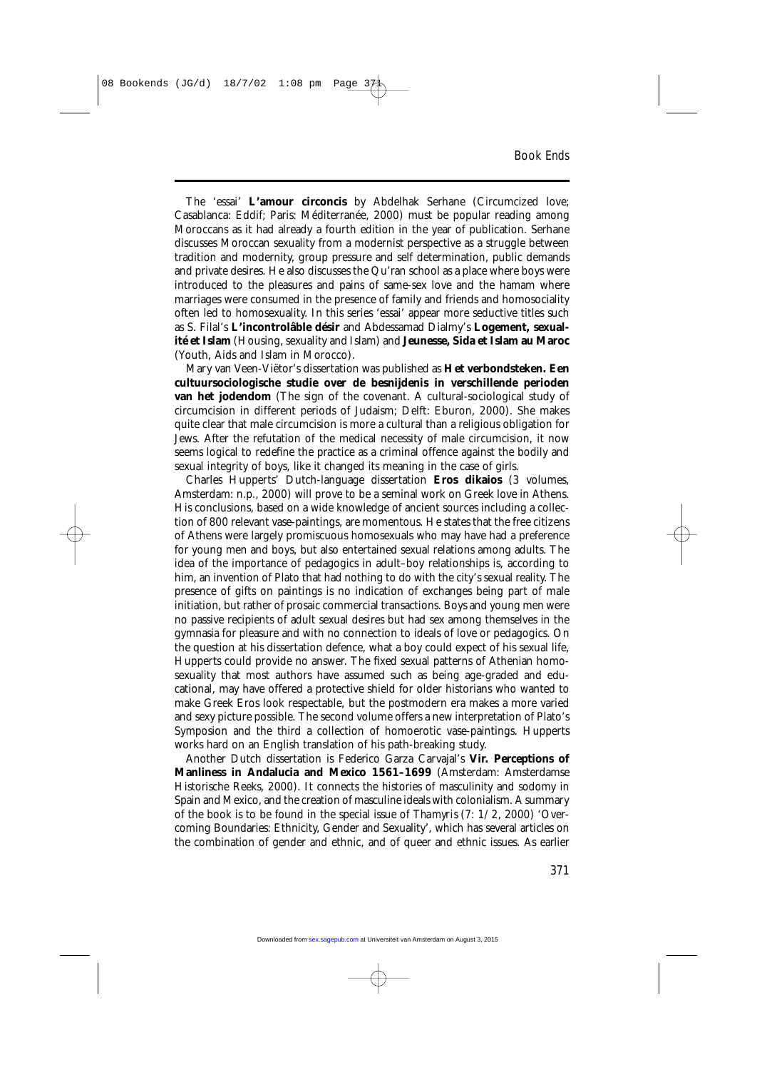The 'essai' **L'amour circoncis** by Abdelhak Serhane (Circumcized love; Casablanca: Eddif; Paris: Méditerranée, 2000) must be popular reading among Moroccans as it had already a fourth edition in the year of publication. Serhane discusses Moroccan sexuality from a modernist perspective as a struggle between tradition and modernity, group pressure and self determination, public demands and private desires. He also discusses the Qu'ran school as a place where boys were introduced to the pleasures and pains of same-sex love and the hamam where marriages were consumed in the presence of family and friends and homosociality often led to homosexuality. In this series 'essai' appear more seductive titles such as S. Filal's **L'incontrolâble désir** and Abdessamad Dialmy's **Logement, sexualité et Islam** (Housing, sexuality and Islam) and **Jeunesse, Sida et Islam au Maroc** (Youth, Aids and Islam in Morocco).

Mary van Veen-Viëtor's dissertation was published as **Het verbondsteken. Een cultuursociologische studie over de besnijdenis in verschillende perioden van het jodendom** (The sign of the covenant. A cultural-sociological study of circumcision in different periods of Judaism; Delft: Eburon, 2000). She makes quite clear that male circumcision is more a cultural than a religious obligation for Jews. After the refutation of the medical necessity of male circumcision, it now seems logical to redefine the practice as a criminal offence against the bodily and sexual integrity of boys, like it changed its meaning in the case of girls.

Charles Hupperts' Dutch-language dissertation **Eros dikaios** (3 volumes, Amsterdam: n.p., 2000) will prove to be a seminal work on Greek love in Athens. His conclusions, based on a wide knowledge of ancient sources including a collection of 800 relevant vase-paintings, are momentous. He states that the free citizens of Athens were largely promiscuous homosexuals who may have had a preference for young men and boys, but also entertained sexual relations among adults. The idea of the importance of pedagogics in adult–boy relationships is, according to him, an invention of Plato that had nothing to do with the city's sexual reality. The presence of gifts on paintings is no indication of exchanges being part of male initiation, but rather of prosaic commercial transactions. Boys and young men were no passive recipients of adult sexual desires but had sex among themselves in the gymnasia for pleasure and with no connection to ideals of love or pedagogics. On the question at his dissertation defence, what a boy could expect of his sexual life, Hupperts could provide no answer. The fixed sexual patterns of Athenian homosexuality that most authors have assumed such as being age-graded and educational, may have offered a protective shield for older historians who wanted to make Greek Eros look respectable, but the postmodern era makes a more varied and sexy picture possible. The second volume offers a new interpretation of Plato's Symposion and the third a collection of homoerotic vase-paintings. Hupperts works hard on an English translation of his path-breaking study.

Another Dutch dissertation is Federico Garza Carvajal's **Vir. Perceptions of Manliness in Andalucia and Mexico 1561–1699** (Amsterdam: Amsterdamse Historische Reeks, 2000). It connects the histories of masculinity and sodomy in Spain and Mexico, and the creation of masculine ideals with colonialism. A summary of the book is to be found in the special issue of *Thamyris* (7: 1/2, 2000) 'Overcoming Boundaries: Ethnicity, Gender and Sexuality', which has several articles on the combination of gender and ethnic, and of queer and ethnic issues. As earlier